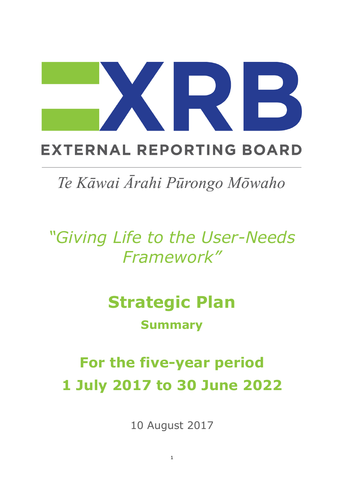# **EXTERNAL REPORTING BOARD**

# Te Kāwai Ārahi Pūrongo Mōwaho

*"Giving Life to the User-Needs Framework"*

# **Strategic Plan**

# **Summary**

# **For the five-year period 1 July 2017 to 30 June 2022**

10 August 2017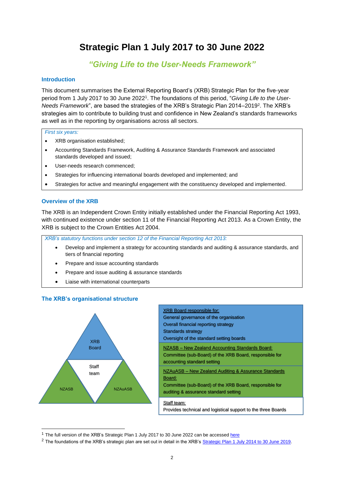# **Strategic Plan 1 July 2017 to 30 June 2022**

# *"Giving Life to the User-Needs Framework"*

## **Introduction**

This document summarises the External Reporting Board's (XRB) Strategic Plan for the five-year period from 1 July 2017 to 30 June 2022 1 . The foundations of this period, "*Giving Life to the User-*Needs Framework", are based the strategies of the XRB's Strategic Plan 2014–2019<sup>2</sup>. The XRB's strategies aim to contribute to building trust and confidence in New Zealand's standards frameworks as well as in the reporting by organisations across all sectors.

#### *First six years:*

- XRB organisation established;
- Accounting Standards Framework, Auditing & Assurance Standards Framework and associated standards developed and issued;
- User-needs research commenced;
- Strategies for influencing international boards developed and implemented; and
- Strategies for active and meaningful engagement with the constituency developed and implemented.

## **Overview of the XRB**

The XRB is an Independent Crown Entity initially established under the Financial Reporting Act 1993, with continued existence under section 11 of the Financial Reporting Act 2013. As a Crown Entity, the XRB is subject to the Crown Entities Act 2004.

*XRB's statutory functions under section 12 of the Financial Reporting Act 2013:*

- Develop and implement a strategy for accounting standards and auditing & assurance standards, and tiers of financial reporting
- Prepare and issue accounting standards
- Prepare and issue auditing & assurance standards
- Liaise with international counterparts

**The XRB's organisational structure**



-

| <b>XRB Board responsible for:</b>                             |
|---------------------------------------------------------------|
| General governance of the organisation                        |
| Overall financial reporting strategy                          |
| <b>Standards strategy</b>                                     |
| Oversight of the standard setting boards                      |
| NZASB - New Zealand Accounting Standards Board:               |
| Committee (sub-Board) of the XRB Board, responsible for       |
| accounting standard setting                                   |
| NZAuASB – New Zealand Auditing & Assurance Standards          |
| Board:                                                        |
| Committee (sub-Board) of the XRB Board, responsible for       |
| auditing & assurance standard setting                         |
| Staff team:                                                   |
| Provides technical and logistical support to the three Boards |

<sup>&</sup>lt;sup>1</sup> The full version of the XRB's Strategic Plan 1 July 2017 to 30 June 2022 can be accessed [here](https://www.xrb.govt.nz/about-xrb/publications/)

<sup>&</sup>lt;sup>2</sup> The foundations of the XRB's strategic plan are set out in detail in the XRB's Strategic Plan 1 [July 2014 to 30 June 2019.](https://www.xrb.govt.nz/dmsdocument/1942)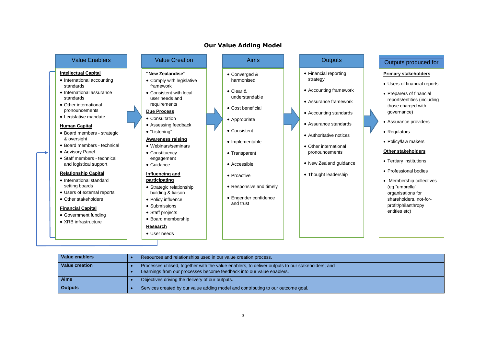# **Our Value Adding Model**

| <b>Intellectual Capital</b>                                                                                        |  |  |
|--------------------------------------------------------------------------------------------------------------------|--|--|
| • International accounting<br>standards                                                                            |  |  |
| $\bullet$ International assurance<br>standards<br>• Other international<br>pronouncements<br>• Legislative mandate |  |  |
|                                                                                                                    |  |  |

#### **Human Capital**

- Board members strategic & oversight
- Board members technical
- Advisory Panel
- Staff members technical and logistical support

#### **Relationship Capital**

- International standard setting boards
- Users of external reports
- Other stakeholders

#### **Financial Capital**

- Government funding
- XRB infrastructure

# **"New Zealandise"** • Comply with legislative

framework • Consistent with local user needs and

#### requirements **Due Process**

- Consultation
- Assessing feedback • "Listening"

# **Awareness raising**

- Webinars/seminars
- Constituency engagement

## • Guidance **Influencing and**

# **participating**

- Strategic relationship building & liaison
- Policy influence
	- Submissions • Staff projects
	- Board membership

### **Research**

• User needs

- Converged & harmonised
- Clear & understandable
- Cost beneficial
- Appropriate
- Consistent
- Implementable
- Transparent
- Accessible
- Proactive
- Responsive and timely
- 
- 
- Financial reporting strategy
- Accounting framework
- Assurance framework
- Accounting standards
- Assurance standards
- Authoritative notices
- Other international pronouncements
- New Zealand guidance
- Thought leadership

# Value Enablers Nature Creation Number 2011 Aims Aims Aims Aims And Autour Cutputs Autour Cutputs produced for

#### **Primary stakeholders**

- Users of financial reports
- Preparers of financial reports/entities (including those charged with governance)
- Assurance providers
- Regulators
- Policy/law makers

#### **Other stakeholders**

- Tertiary institutions
- Professional bodies
- Membership collectives (eg "umbrella" organisations for shareholders, not-forprofit/philanthropy entities etc)

| Value enablers | Resources and relationships used in our value creation process.                                                                                                            |  |
|----------------|----------------------------------------------------------------------------------------------------------------------------------------------------------------------------|--|
| Value creation | Processes utilised, together with the value enablers, to deliver outputs to our stakeholders; and<br>Learnings from our processes become feedback into our value enablers. |  |
| <b>Aims</b>    | Objectives driving the delivery of our outputs.                                                                                                                            |  |
| <b>Outputs</b> | Services created by our value adding model and contributing to our outcome goal.                                                                                           |  |

- - -
		-
- 
- Engender confidence
- 
- 
- 
- and trust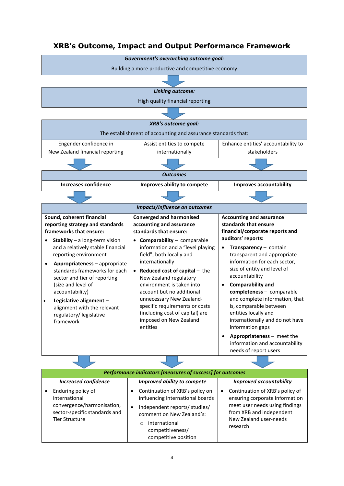# **XRB's Outcome, Impact and Output Performance Framework**



| Performance indicators [measures of success] for outcomes                                                                   |                                                                                                                                                                                                                           |                                                                                                                                                                                    |  |
|-----------------------------------------------------------------------------------------------------------------------------|---------------------------------------------------------------------------------------------------------------------------------------------------------------------------------------------------------------------------|------------------------------------------------------------------------------------------------------------------------------------------------------------------------------------|--|
| <b>Increased confidence</b>                                                                                                 | Improved ability to compete                                                                                                                                                                                               | <b>Improved accountability</b>                                                                                                                                                     |  |
| Enduring policy of<br>international<br>convergence/harmonisation,<br>sector-specific standards and<br><b>Tier Structure</b> | Continuation of XRB's policy on<br>influencing international boards<br>Independent reports/ studies/<br>$\bullet$<br>comment on New Zealand's:<br>international<br>$\bigcirc$<br>competitiveness/<br>competitive position | Continuation of XRB's policy of<br>$\bullet$<br>ensuring corporate information<br>meet user needs using findings<br>from XRB and independent<br>New Zealand user-needs<br>research |  |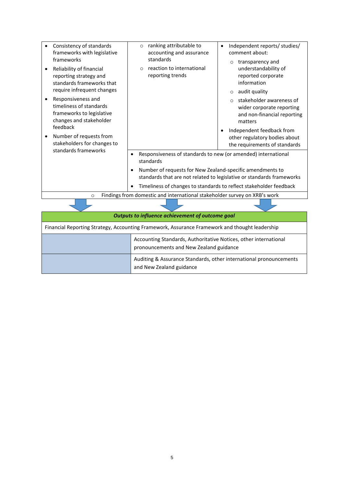|                                                                                                | Consistency of standards<br>frameworks with legislative<br>frameworks                                 | ranking attributable to<br>$\circ$<br>accounting and assurance<br>standards             | Independent reports/ studies/<br>$\bullet$<br>comment about:<br>transparency and<br>$\circ$                 |
|------------------------------------------------------------------------------------------------|-------------------------------------------------------------------------------------------------------|-----------------------------------------------------------------------------------------|-------------------------------------------------------------------------------------------------------------|
|                                                                                                | Reliability of financial<br>reporting strategy and<br>standards frameworks that                       | reaction to international<br>$\circ$<br>reporting trends                                | understandability of<br>reported corporate<br>information                                                   |
|                                                                                                | require infrequent changes                                                                            |                                                                                         | audit quality<br>$\circ$                                                                                    |
|                                                                                                | Responsiveness and<br>timeliness of standards<br>frameworks to legislative<br>changes and stakeholder |                                                                                         | stakeholder awareness of<br>$\Omega$<br>wider corporate reporting<br>and non-financial reporting<br>matters |
|                                                                                                | feedback                                                                                              |                                                                                         | Independent feedback from<br>$\bullet$                                                                      |
|                                                                                                | Number of requests from                                                                               |                                                                                         | other regulatory bodies about                                                                               |
|                                                                                                | stakeholders for changes to<br>standards frameworks                                                   |                                                                                         | the requirements of standards                                                                               |
|                                                                                                |                                                                                                       | Responsiveness of standards to new (or amended) international<br>$\bullet$<br>standards |                                                                                                             |
|                                                                                                |                                                                                                       | Number of requests for New Zealand-specific amendments to<br>$\bullet$                  | standards that are not related to legislative or standards frameworks                                       |
|                                                                                                |                                                                                                       |                                                                                         | Timeliness of changes to standards to reflect stakeholder feedback                                          |
|                                                                                                | Findings from domestic and international stakeholder survey on XRB's work<br>$\circ$                  |                                                                                         |                                                                                                             |
|                                                                                                |                                                                                                       |                                                                                         |                                                                                                             |
|                                                                                                |                                                                                                       | Outputs to influence achievement of outcome goal                                        |                                                                                                             |
| Financial Reporting Strategy, Accounting Framework, Assurance Framework and thought leadership |                                                                                                       |                                                                                         |                                                                                                             |
|                                                                                                | Accounting Standards, Authoritative Notices, other international                                      |                                                                                         |                                                                                                             |
|                                                                                                | pronouncements and New Zealand guidance                                                               |                                                                                         |                                                                                                             |
|                                                                                                | Auditing & Assurance Standards, other international pronouncements                                    |                                                                                         |                                                                                                             |

and New Zealand guidance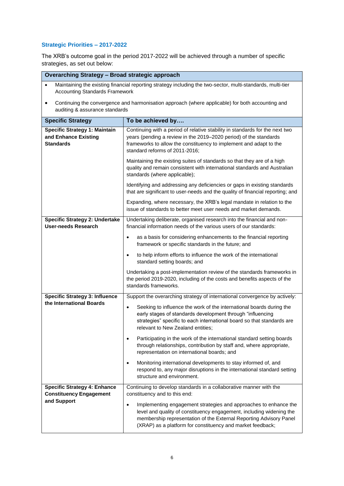# **Strategic Priorities – 2017-2022**

The XRB's outcome goal in the period 2017-2022 will be achieved through a number of specific strategies, as set out below:

| <b>Overarching Strategy - Broad strategic approach</b>                                                                                                            |                                                                                                                                                                                                                                                                                                                            |  |  |  |
|-------------------------------------------------------------------------------------------------------------------------------------------------------------------|----------------------------------------------------------------------------------------------------------------------------------------------------------------------------------------------------------------------------------------------------------------------------------------------------------------------------|--|--|--|
| Maintaining the existing financial reporting strategy including the two-sector, multi-standards, multi-tier<br>$\bullet$<br><b>Accounting Standards Framework</b> |                                                                                                                                                                                                                                                                                                                            |  |  |  |
| Continuing the convergence and harmonisation approach (where applicable) for both accounting and<br>$\bullet$<br>auditing & assurance standards                   |                                                                                                                                                                                                                                                                                                                            |  |  |  |
| <b>Specific Strategy</b>                                                                                                                                          | To be achieved by                                                                                                                                                                                                                                                                                                          |  |  |  |
| <b>Specific Strategy 1: Maintain</b><br>and Enhance Existing<br><b>Standards</b>                                                                                  | Continuing with a period of relative stability in standards for the next two<br>years (pending a review in the 2019-2020 period) of the standards<br>frameworks to allow the constituency to implement and adapt to the<br>standard reforms of 2011-2016;                                                                  |  |  |  |
|                                                                                                                                                                   | Maintaining the existing suites of standards so that they are of a high<br>quality and remain consistent with international standards and Australian<br>standards (where applicable);                                                                                                                                      |  |  |  |
|                                                                                                                                                                   | Identifying and addressing any deficiencies or gaps in existing standards<br>that are significant to user-needs and the quality of financial reporting; and                                                                                                                                                                |  |  |  |
|                                                                                                                                                                   | Expanding, where necessary, the XRB's legal mandate in relation to the<br>issue of standards to better meet user needs and market demands.                                                                                                                                                                                 |  |  |  |
| <b>Specific Strategy 2: Undertake</b><br><b>User-needs Research</b>                                                                                               | Undertaking deliberate, organised research into the financial and non-<br>financial information needs of the various users of our standards:                                                                                                                                                                               |  |  |  |
|                                                                                                                                                                   | as a basis for considering enhancements to the financial reporting<br>$\bullet$<br>framework or specific standards in the future; and                                                                                                                                                                                      |  |  |  |
|                                                                                                                                                                   | to help inform efforts to influence the work of the international<br>standard setting boards; and                                                                                                                                                                                                                          |  |  |  |
|                                                                                                                                                                   | Undertaking a post-implementation review of the standards frameworks in<br>the period 2019-2020, including of the costs and benefits aspects of the<br>standards frameworks.                                                                                                                                               |  |  |  |
| <b>Specific Strategy 3: Influence</b>                                                                                                                             | Support the overarching strategy of international convergence by actively:                                                                                                                                                                                                                                                 |  |  |  |
| the International Boards                                                                                                                                          | Seeking to influence the work of the international boards during the<br>$\bullet$<br>early stages of standards development through "influencing<br>strategies" specific to each international board so that standards are<br>relevant to New Zealand entities;                                                             |  |  |  |
|                                                                                                                                                                   | Participating in the work of the international standard setting boards<br>$\bullet$<br>through relationships, contribution by staff and, where appropriate,<br>representation on international boards; and                                                                                                                 |  |  |  |
|                                                                                                                                                                   | Monitoring international developments to stay informed of, and<br>$\bullet$<br>respond to, any major disruptions in the international standard setting<br>structure and environment.                                                                                                                                       |  |  |  |
| <b>Specific Strategy 4: Enhance</b>                                                                                                                               | Continuing to develop standards in a collaborative manner with the                                                                                                                                                                                                                                                         |  |  |  |
| <b>Constituency Engagement</b><br>and Support                                                                                                                     | constituency and to this end:<br>Implementing engagement strategies and approaches to enhance the<br>$\bullet$<br>level and quality of constituency engagement, including widening the<br>membership representation of the External Reporting Advisory Panel<br>(XRAP) as a platform for constituency and market feedback; |  |  |  |